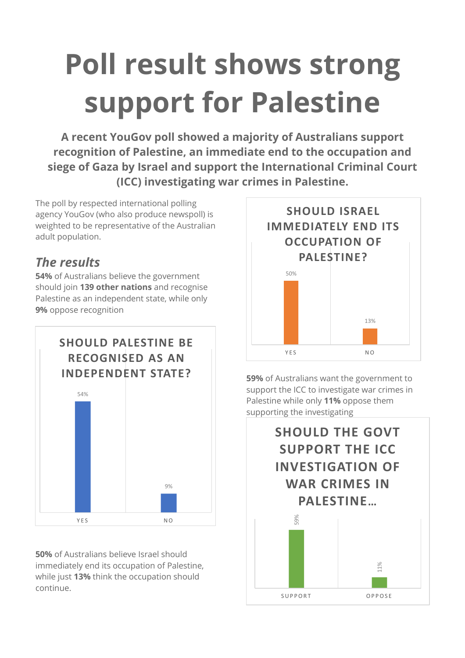# **Poll result shows strong support for Palestine**

**A recent YouGov poll showed a majority of Australians support recognition of Palestine, an immediate end to the occupation and siege of Gaza by Israel and support the International Criminal Court (ICC) investigating war crimes in Palestine.**

The poll by respected international polling agency YouGov (who also produce newspoll) is weighted to be representative of the Australian adult population.

### *The results*

**54%** of Australians believe the government should join **139 other nations** and recognise Palestine as an independent state, while only **9%** oppose recognition



**50%** of Australians believe Israel should immediately end its occupation of Palestine, while just **13%** think the occupation should continue.



**59%** of Australians want the government to support the ICC to investigate war crimes in Palestine while only **11%** oppose them supporting the investigating